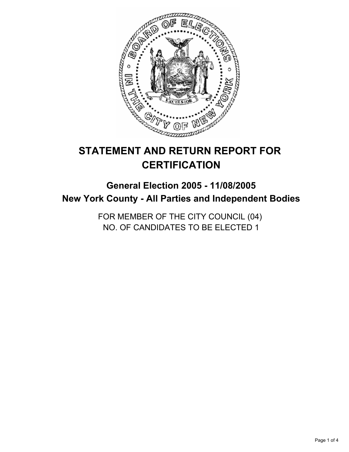

# **STATEMENT AND RETURN REPORT FOR CERTIFICATION**

## **General Election 2005 - 11/08/2005 New York County - All Parties and Independent Bodies**

FOR MEMBER OF THE CITY COUNCIL (04) NO. OF CANDIDATES TO BE ELECTED 1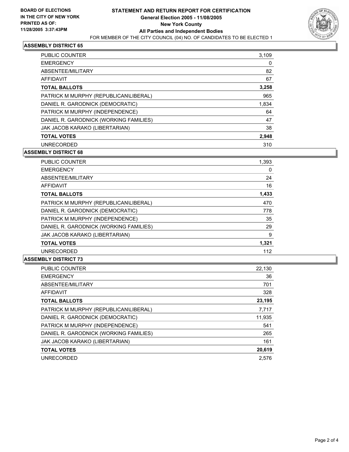

#### **ASSEMBLY DISTRICT 65**

| <b>PUBLIC COUNTER</b>                  | 3,109 |
|----------------------------------------|-------|
| <b>EMERGENCY</b>                       | 0     |
| ABSENTEE/MILITARY                      | 82    |
| AFFIDAVIT                              | 67    |
| <b>TOTAL BALLOTS</b>                   | 3,258 |
| PATRICK M MURPHY (REPUBLICAN\LIBERAL)  | 965   |
| DANIEL R. GARODNICK (DEMOCRATIC)       | 1,834 |
| PATRICK M MURPHY (INDEPENDENCE)        | 64    |
| DANIEL R. GARODNICK (WORKING FAMILIES) | 47    |
| JAK JACOB KARAKO (LIBERTARIAN)         | 38    |
| <b>TOTAL VOTES</b>                     | 2,948 |
| <b>UNRECORDED</b>                      | 310   |

#### **ASSEMBLY DISTRICT 68**

| <b>PUBLIC COUNTER</b>                  | 1,393 |
|----------------------------------------|-------|
| <b>EMERGENCY</b>                       |       |
| ABSENTEE/MILITARY                      | 24    |
| AFFIDAVIT                              | 16    |
| <b>TOTAL BALLOTS</b>                   | 1,433 |
| PATRICK M MURPHY (REPUBLICAN\LIBERAL)  | 470   |
| DANIEL R. GARODNICK (DEMOCRATIC)       | 778   |
| PATRICK M MURPHY (INDEPENDENCE)        | 35    |
| DANIEL R. GARODNICK (WORKING FAMILIES) | 29    |
| JAK JACOB KARAKO (LIBERTARIAN)         | 9     |
| <b>TOTAL VOTES</b>                     | 1,321 |
| <b>UNRECORDED</b>                      | 112   |

#### **ASSEMBLY DISTRICT 73**

| PUBLIC COUNTER                         | 22,130 |
|----------------------------------------|--------|
| <b>EMERGENCY</b>                       | 36     |
| ABSENTEE/MILITARY                      | 701    |
| <b>AFFIDAVIT</b>                       | 328    |
| <b>TOTAL BALLOTS</b>                   | 23,195 |
| PATRICK M MURPHY (REPUBLICAN\LIBERAL)  | 7,717  |
| DANIEL R. GARODNICK (DEMOCRATIC)       | 11,935 |
| PATRICK M MURPHY (INDEPENDENCE)        | 541    |
| DANIEL R. GARODNICK (WORKING FAMILIES) | 265    |
| JAK JACOB KARAKO (LIBERTARIAN)         | 161    |
| <b>TOTAL VOTES</b>                     | 20,619 |
| <b>UNRECORDED</b>                      | 2.576  |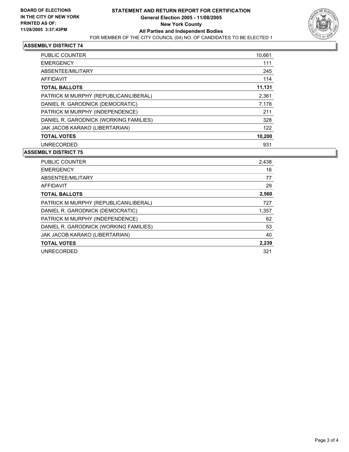

#### **ASSEMBLY DISTRICT 74**

| PUBLIC COUNTER                         | 10,661 |
|----------------------------------------|--------|
| <b>EMERGENCY</b>                       | 111    |
| ABSENTEE/MILITARY                      | 245    |
| AFFIDAVIT                              | 114    |
| <b>TOTAL BALLOTS</b>                   | 11,131 |
| PATRICK M MURPHY (REPUBLICAN\LIBERAL)  | 2,361  |
| DANIEL R. GARODNICK (DEMOCRATIC)       | 7,178  |
| PATRICK M MURPHY (INDEPENDENCE)        | 211    |
| DANIEL R. GARODNICK (WORKING FAMILIES) | 328    |
| JAK JACOB KARAKO (LIBERTARIAN)         | 122    |
| <b>TOTAL VOTES</b>                     | 10,200 |
| <b>UNRECORDED</b>                      | 931    |

#### **ASSEMBLY DISTRICT 75**

| PUBLIC COUNTER                         | 2,438 |
|----------------------------------------|-------|
| <b>EMERGENCY</b>                       | 16    |
| ABSENTEE/MILITARY                      | 77    |
| AFFIDAVIT                              | 29    |
| <b>TOTAL BALLOTS</b>                   | 2,560 |
| PATRICK M MURPHY (REPUBLICAN\LIBERAL)  | 727   |
| DANIEL R. GARODNICK (DEMOCRATIC)       | 1,357 |
| PATRICK M MURPHY (INDEPENDENCE)        | 62    |
| DANIEL R. GARODNICK (WORKING FAMILIES) | 53    |
| JAK JACOB KARAKO (LIBERTARIAN)         | 40    |
| <b>TOTAL VOTES</b>                     | 2,239 |
| <b>UNRECORDED</b>                      | 321   |